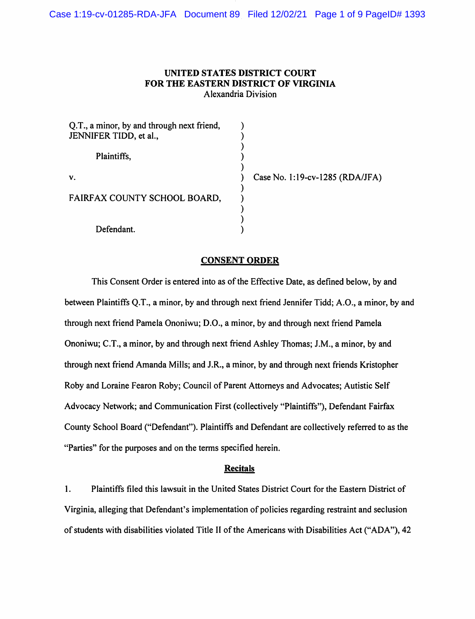# **UNITED STATES DISTRICT COURT FOR THE EASTERN DISTRICT OF VIRGINIA**  Alexandria Division

| Q.T., a minor, by and through next friend,<br>JENNIFER TIDD, et al., |  |
|----------------------------------------------------------------------|--|
| Plaintiffs,                                                          |  |
| v.                                                                   |  |
| FAIRFAX COUNTY SCHOOL BOARD,                                         |  |
| Defendant.                                                           |  |

Case No. 1:19-cv-1285 (RDA/JFA)

# **CONSENT ORDER**

This Consent Order is entered into as of the Effective Date, as defined below, by and between Plaintiffs Q.T., a minor, by and through next friend Jennifer Tidd; A.O., a minor, by and through next friend Pamela Ononiwu; D.O., a minor, by and through next friend Pamela Ononiwu; C.T., a minor, by and through next friend Ashley Thomas; J.M., a minor, by and through next friend Amanda Mills; and J.R., a minor, by and through next friends Kristopher Roby and Loraine Fearon Roby; Council of Parent Attorneys and Advocates; Autistic Self Advocacy Network; and Communication First (collectively "Plaintiffs"), Defendant Fairfax County School Board ("Defendant"). Plaintiffs and Defendant are collectively referred to as the "Parties" for the purposes and on the terms specified herein.

### **Recitals**

1. Plaintiffs filed this lawsuit in the United States District Court for the Eastern District of Virginia, alleging that Defendant's implementation of policies regarding restraint and seclusion of students with disabilities violated Title II of the Americans with Disabilities Act ("ADA"), 42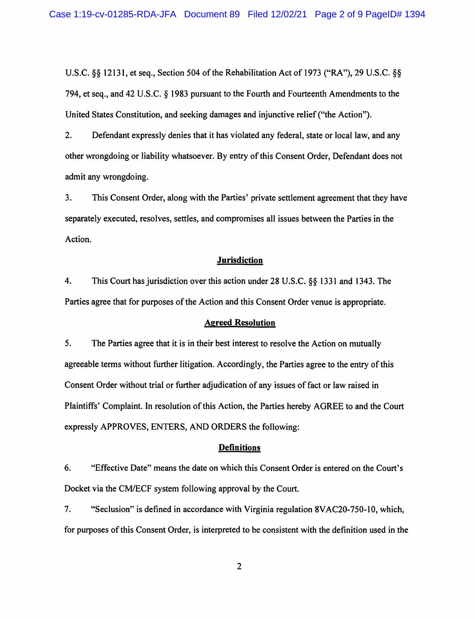U.S.C. §§ 12131, et seq., Section 504 of the Rehabilitation Act of 1973 ("RA"), 29 U.S.C. §§ 794, et seq., and 42 U.S.C. § 1983 pursuant to the Fourth and Fourteenth Amendments to the United States Constitution, and seeking damages and injunctive relief ("the Action").

2. Defendant expressly denies that it has violated any federal, state or local law, and any other wrongdoing or liability whatsoever. By entry of this Consent Order, Defendant does not admit any wrongdoing.

3. This Consent Order, along with the Parties' private settlement agreement that they have separately executed, resolves, settles, and compromises all issues between the Parties in the Action.

### **Jurisdiction**

4. This Court has jurisdiction over this action under 28 U.S.C. §§ 1331 and 1343. The Parties agree that for purposes of the Action and this Consent Order venue is appropriate.

### **Agreed Resolution**

5. The Parties agree that it is in their best interest to resolve the Action on mutually agreeable terms without further litigation. Accordingly, the Parties agree to the entry of this Consent Order without trial or further adjudication of any issues of fact or law raised in Plaintiffs' Complaint. In resolution of this Action, the Parties hereby AGREE to and the Court expressly APPROVES, ENTERS, AND ORDERS the following:

# **Definitions**

6. "Effective Date" means the date on which this Consent Order is entered on the Court's Docket via the CM/ECF system following approval by the Court.

7. "Seclusion" is defined in accordance with Virginia regulation 8VAC20-750-10, which, for purposes of this Consent Order, is interpreted to be consistent with the definition used in the

2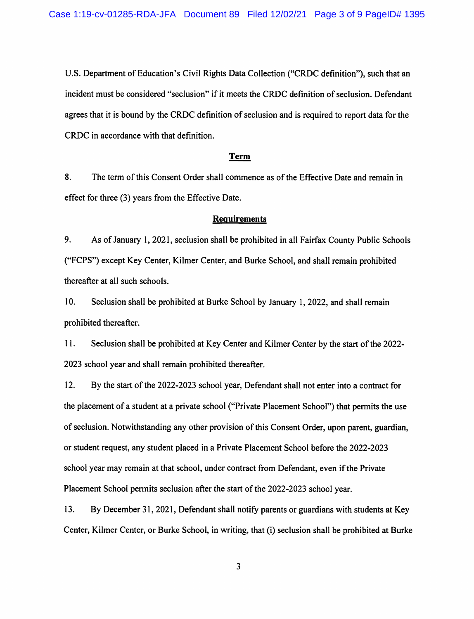U.S. Department of Education's Civil Rights Data Collection ("CRDC definition"), such that an incident must be considered "seclusion" if it meets the CRDC definition of seclusion. Defendant agrees that it is bound by the CRDC definition of seclusion and is required to report data for the CRDC in accordance with that definition.

#### **Term**

8. The term of this Consent Order shall commence as of the Effective Date and remain in effect for three (3) years from the Effective Date.

#### **Requirements**

9. As of January 1, 2021, seclusion shall be prohibited in all Fairfax County Public Schools ("FCPS") except Key Center, Kilmer Center, and Burke School, and shall remain prohibited thereafter at all such schools.

l 0. Seclusion shall be prohibited at Burke School by January l, 2022, and shall remain prohibited thereafter.

11. Seclusion shall be prohibited at Key Center and Kilmer Center by the start of the 2022-2023 school year and shall remain prohibited thereafter.

12. By the start of the 2022-2023 school year, Defendant shall not enter into a contract for the placement of a student at a private school ("Private Placement School") that permits the use of seclusion. Notwithstanding any other provision of this Consent Order, upon parent, guardian, or student request, any student placed in a Private Placement School before the 2022-2023 school year may remain at that school, under contract from Defendant, even if the Private Placement School permits seclusion after the start of the 2022-2023 school year.

13. By December 31, 2021, Defendant shall notify parents or guardians with students at Key Center, Kilmer Center, or Burke School, in writing, that (i) seclusion shall be prohibited at Burke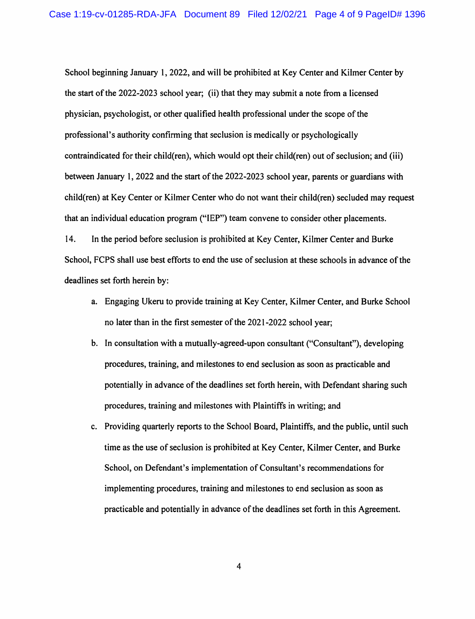School beginning January 1, 2022, and will be prohibited at Key Center and Kilmer Center by the start of the 2022-2023 school year; (ii) that they may submit a note from a licensed physician, psychologist, or other qualified health professional under the scope of the professional's authority confirming that seclusion is medically or psychologically contraindicated for their child(ren), which would opt their child(ren) out of seclusion; and (iii) between January 1, 2022 and the start of the 2022-2023 school year, parents or guardians with child(ren) at Key Center or Kilmer Center who do not want their child(ren) secluded may request that an individual education program ("IEP") team convene to consider other placements.

14. In the period before seclusion is prohibited at Key Center, Kilmer Center and Burke School, FCPS shall use best efforts to end the use of seclusion at these schools in advance of the deadlines set forth herein by:

- a. Engaging Ukeru to provide training at Key Center, Kilmer Center, and Burke School no later than in the first semester of the 2021-2022 school year;
- b. In consultation with a mutually-agreed-upon consultant ("Consultant"), developing procedures, training, and milestones to end seclusion as soon as practicable and potentially in advance of the deadlines set forth herein, with Defendant sharing such procedures, training and milestones with Plaintiffs in writing; and
- c. Providing quarterly reports to the School Board, Plaintiffs, and the public, until such time as the use of seclusion is prohibited at Key Center, Kilmer Center, and Burke School, on Defendant's implementation of Consultant's recommendations for implementing procedures, training and milestones to end seclusion as soon as practicable and potentially in advance of the deadlines set forth in this Agreement.

4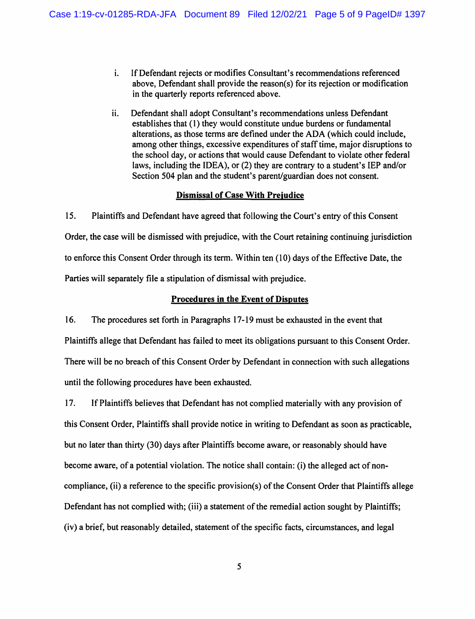- i. If Defendant rejects or modifies Consultant's recommendations referenced above, Defendant shall provide the reason(s) for its rejection or modification in the quarterly reports referenced above.
- ii. Defendant shall adopt Consultant's recommendations unless Defendant establishes that (1) they would constitute undue burdens or fundamental alterations, as those terms are defined under the ADA (which could include, among other things, excessive expenditures of staff time, major disruptions to the school day, or actions that would cause Defendant to violate other federal laws, including the IDEA), or (2) they are contrary to a student's IEP and/or Section 504 plan and the student's parent/guardian does not consent.

### **Dismissal of Case With Preiudice**

15. Plaintiffs and Defendant have agreed that following the Court's entry of this Consent Order, the case will be dismissed with prejudice, with the Court retaining continuing jurisdiction to enforce this Consent Order through its term. Within ten ( 10) days of the Effective Date, the Parties will separately file a stipulation of dismissal with prejudice.

# **Procedures in the Event of Disputes**

16. The procedures set forth in Paragraphs 17-19 must be exhausted in the event that Plaintiffs allege that Defendant has failed to meet its obligations pursuant to this Consent Order. There will be no breach of this Consent Order by Defendant in connection with such allegations until the following procedures have been exhausted.

17. If Plaintiffs believes that Defendant has not complied materially with any provision of this Consent Order, Plaintiffs shall provide notice in writing to Defendant as soon as practicable, but no later than thirty (30) days after Plaintiffs become aware, or reasonably should have become aware, of a potential violation. The notice shall contain: (i) the alleged act of noncompliance, (ii) a reference to the specific provision(s) of the Consent Order that Plaintiffs allege Defendant has not complied with; (iii) a statement of the remedial action sought by Plaintiffs; (iv) a brief, but reasonably detailed, statement of the specific facts, circumstances, and legal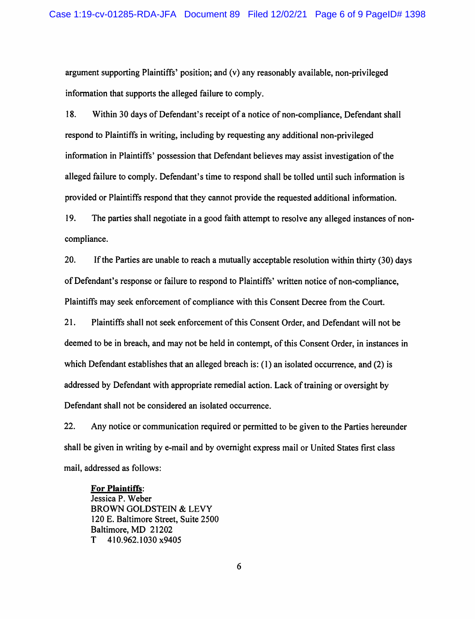argument supporting Plaintiffs' position; and (v) any reasonably available, non-privileged information that supports the alleged failure to comply.

18. Within 30 days of Defendant's receipt of a notice of non-compliance, Defendant shall respond to Plaintiffs in writing, including by requesting any additional non-privileged information in Plaintiffs' possession that Defendant believes may assist investigation of the alleged failure to comply. Defendant's time to respond shall be tolled until such information is provided or Plaintiffs respond that they cannot provide the requested additional information.

19. The parties shall negotiate in a good faith attempt to resolve any alleged instances of noncompliance.

20. If the Parties are unable to reach a mutually acceptable resolution within thirty (30) days of Defendant's response or failure to respond to Plaintiffs' written notice of non-compliance, Plaintiffs may seek enforcement of compliance with this Consent Decree from the Court.

21. Plaintiffs shall not seek enforcement of this Consent Order, and Defendant will not be deemed to be in breach, and may not be held in contempt, of this Consent Order, in instances in which Defendant establishes that an alleged breach is: (1) an isolated occurrence, and (2) is addressed by Defendant with appropriate remedial action. Lack of training or oversight by Defendant shall not be considered an isolated occurrence.

22. Any notice or communication required or permitted to be given to the Parties hereunder shall be given in writing by e-mail and by overnight express mail or United States first class mail, addressed as follows:

#### **For Plaintiffs:**

Jessica P. Weber BROWN GOLDSTEIN & LEVY 120 E. Baltimore Street, Suite 2500 Baltimore, MD 21202 T 410.962.1030 x9405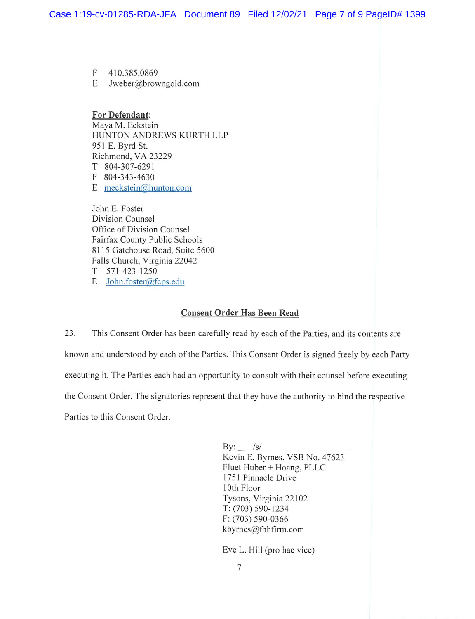F 4 10.385.0869

E Jweber@browngold.com

**For Defendant:**  Maya M. Eckstein HUNTON ANDREWS KURTH LLP 951 E. Byrd St. Richmond, VA 23229 T 804-307-629 1 F 804-343-4630 E meckstein@hunton.com

John E. Foster Division Counsel Office of Division Counsel Fairfax County Public Schools 8115 Gatehouse Road, Suite 5600 Falls Church, Virginia 22042 T 57 1-423-1250

E John.foster@fcps.edu

# **Consent Order Has Been Read**

23. This Consent Order has been carefully read by each of the Parties, and its contents are known and understood by each of the Parties. This Consent Order is signed freely by each Party executing it. The Parties each had an opportunity to consult with their counsel before executing the Consent Order. The signatories represent that they have the authority to bind the respective Parties to this Consent Order.

> By: */s/* Kevin E. Byrnes, VSB No. 47623 Fluet Huber + Hoang, PLLC 1751 Pinnacle Drive I 0th Floor Tysons, Virginia 22102 T: (703) 590-1234 F: (703) 590-0366 kbyrnes@thhfirm.com

Eve L. Hill (pro hac vice)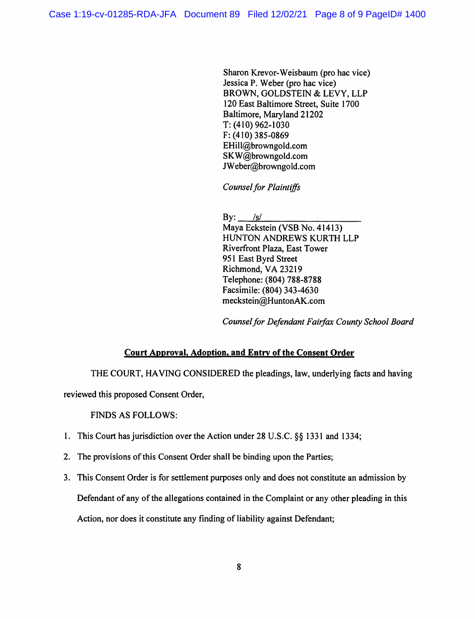Sharon Krevor-Weisbaum (pro hac vice) Jessica P. Weber (pro hac vice) BROWN, GOLDSTEIN & LEVY, LLP 120 East Baltimore Street, Suite 1700 Baltimore, Maryland 21202 T: (410) 962-1030 F: (410) 385-0869 EHill@browngold.com SKW@browngold.com JWeber@browngold.com

*Counsel for Plaintiffs* 

By: *Isl*  Maya Eckstein (VSB No. 41413) HUNTON ANDREWS KURTH LLP Riverfront Plaza, East Tower 951 East Byrd Street Richmond, VA 23219 Telephone: (804) **788-8788**  Facsimile: (804) 343-4630 meckstein@HuntonAK.com

*Counsel for Defendant Fairfax County School Board* 

# **Court Approval, Adoption, and Entry of the Consent Order**

THE COURT, HAVING CONSIDERED the pleadings, law, underlying facts and having

reviewed this proposed Consent Order,

FINDS AS FOLLOWS:

- 1. This Court has jurisdiction over the Action under 28 U.S.C. §§ 1331 and 1334;
- 2. The provisions of this Consent Order shall be binding upon the Parties;
- 3. This Consent Order is for settlement purposes only and does not constitute an admission by

Defendant of any of the allegations contained in the Complaint or any other pleading in this

Action, nor does it constitute any finding of liability against Defendant;